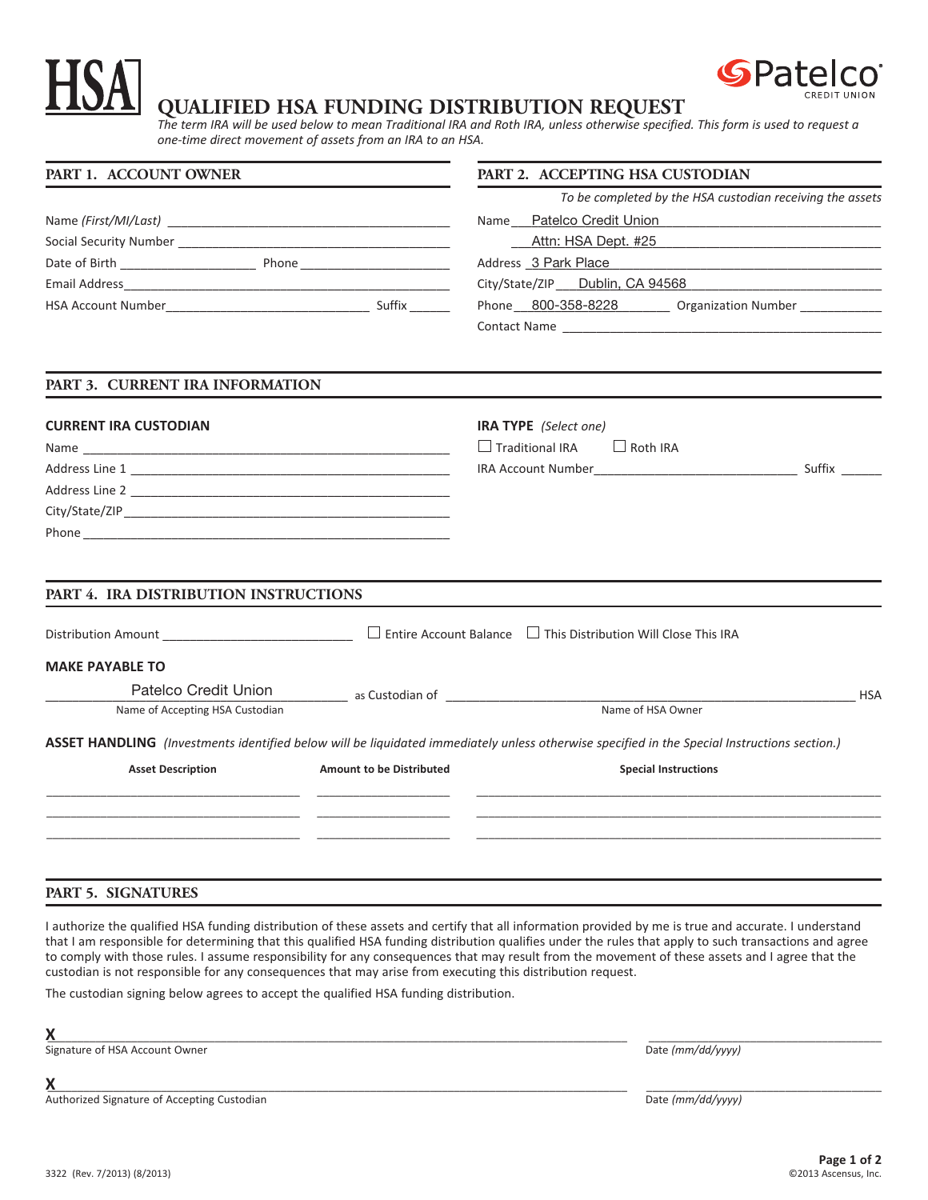# **QUALIFIED HSA FUNDING DISTRIBUTION REQUEST**

*The term IRA will be used below to mean Traditional IRA and Roth IRA, unless otherwise specified. This form is used to request a one‐time direct movement of assets from an IRA to an HSA.*

| PART 1. ACCOUNT OWNER                               |                                                                                                                 | PART 2. ACCEPTING HSA CUSTODIAN                                                                                                              |            |
|-----------------------------------------------------|-----------------------------------------------------------------------------------------------------------------|----------------------------------------------------------------------------------------------------------------------------------------------|------------|
|                                                     |                                                                                                                 | To be completed by the HSA custodian receiving the assets                                                                                    |            |
|                                                     |                                                                                                                 | Name Patelco Credit Union Manuel Allen Manuel Manuel Manuel Manuel Manuel Manuel Manuel Manuel Manuel Manuel M                               |            |
|                                                     |                                                                                                                 | Attn: HSA Dept. #25                                                                                                                          |            |
|                                                     |                                                                                                                 | Address 3 Park Place<br><u> 1980 - Jan Jan James, margaret amerikan basar dan bidang di sebagai pertama dan basar dan basar dan bagi dan</u> |            |
|                                                     |                                                                                                                 | City/State/ZIP __ Dublin, CA 94568                                                                                                           |            |
|                                                     |                                                                                                                 | Phone 800-358-8228 Crganization Number ___________                                                                                           |            |
|                                                     |                                                                                                                 |                                                                                                                                              |            |
| PART 3. CURRENT IRA INFORMATION                     |                                                                                                                 |                                                                                                                                              |            |
| <b>CURRENT IRA CUSTODIAN</b>                        |                                                                                                                 | <b>IRA TYPE</b> (Select one)                                                                                                                 |            |
|                                                     |                                                                                                                 | $\Box$ Traditional IRA<br>$\Box$ Roth IRA                                                                                                    |            |
|                                                     |                                                                                                                 | Suffix                                                                                                                                       |            |
|                                                     |                                                                                                                 |                                                                                                                                              |            |
|                                                     |                                                                                                                 |                                                                                                                                              |            |
|                                                     |                                                                                                                 |                                                                                                                                              |            |
| PART 4. IRA DISTRIBUTION INSTRUCTIONS               |                                                                                                                 |                                                                                                                                              |            |
| Distribution Amount _______________________________ |                                                                                                                 | $\Box$ Entire Account Balance $\Box$ This Distribution Will Close This IRA                                                                   |            |
| <b>MAKE PAYABLE TO</b>                              |                                                                                                                 |                                                                                                                                              |            |
| Patelco Credit Union                                | as Custodian of The Contract of The Contract of The Contract of The Contract of The Contract of The Contract of |                                                                                                                                              | <b>HSA</b> |
| Name of Accepting HSA Custodian                     |                                                                                                                 | Name of HSA Owner                                                                                                                            |            |
|                                                     |                                                                                                                 | ASSET HANDLING (Investments identified below will be liquidated immediately unless otherwise specified in the Special Instructions section.) |            |
| <b>Asset Description</b>                            | <b>Amount to be Distributed</b>                                                                                 | <b>Special Instructions</b>                                                                                                                  |            |
|                                                     |                                                                                                                 |                                                                                                                                              |            |
|                                                     |                                                                                                                 |                                                                                                                                              |            |

## **PART 5. SIGNATURES**

I authorize the qualified HSA funding distribution of these assets and certify that all information provided by me is true and accurate. I understand that I am responsible for determining that this qualified HSA funding distribution qualifies under the rules that apply to such transactions and agree to comply with those rules. I assume responsibility for any consequences that may result from the movement of these assets and I agree that the custodian is not responsible for any consequences that may arise from executing this distribution request.

The custodian signing below agrees to accept the qualified HSA funding distribution.

**X**\_\_\_\_\_\_\_\_\_\_\_\_\_\_\_\_\_\_\_\_\_\_\_\_\_\_\_\_\_\_\_\_\_\_\_\_\_\_\_\_\_\_\_\_\_\_\_\_\_\_\_\_\_\_\_\_\_\_\_\_\_\_\_\_\_\_\_\_\_\_\_\_\_\_\_\_\_\_\_\_\_\_\_\_\_\_\_\_\_\_\_\_\_\_\_\_\_ \_\_\_\_\_\_\_\_\_\_\_\_\_\_\_\_\_\_\_\_\_\_\_\_\_\_\_\_\_\_\_\_\_\_\_\_\_\_\_

Signature of HSA Account Owner **Date** *(mm/dd/yyyy)* Date *(mm/dd/yyyy)* 

Authorized Signature of Accepting Custodian **Date** *(mm/dd/yyyy)* Date *(mm/dd/yyyy)* 

**X**\_\_\_\_\_\_\_\_\_\_\_\_\_\_\_\_\_\_\_\_\_\_\_\_\_\_\_\_\_\_\_\_\_\_\_\_\_\_\_\_\_\_\_\_\_\_\_\_\_\_\_\_\_\_\_\_\_\_\_\_\_\_\_\_\_\_\_\_\_\_\_\_\_\_\_\_\_\_\_\_\_\_\_\_\_\_\_\_\_\_\_\_\_\_\_\_\_ \_\_\_\_\_\_\_\_\_\_\_\_\_\_\_\_\_\_\_\_\_\_\_\_\_\_\_\_\_\_\_\_\_\_\_\_\_\_\_